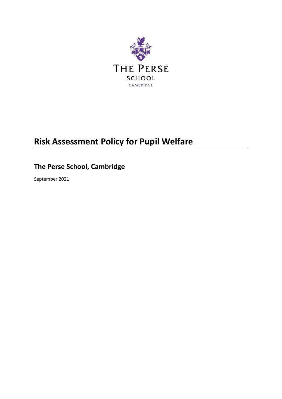

# **Risk Assessment Policy for Pupil Welfare**

# **The Perse School, Cambridge**

September 2021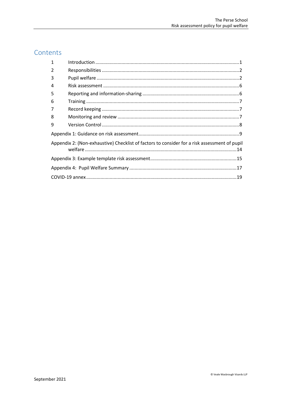# Contents

| 1                                                                                            |  |  |  |  |  |
|----------------------------------------------------------------------------------------------|--|--|--|--|--|
| 2                                                                                            |  |  |  |  |  |
| 3                                                                                            |  |  |  |  |  |
| 4                                                                                            |  |  |  |  |  |
| 5                                                                                            |  |  |  |  |  |
| 6                                                                                            |  |  |  |  |  |
| 7                                                                                            |  |  |  |  |  |
| 8                                                                                            |  |  |  |  |  |
| 9                                                                                            |  |  |  |  |  |
|                                                                                              |  |  |  |  |  |
| Appendix 2: (Non-exhaustive) Checklist of factors to consider for a risk assessment of pupil |  |  |  |  |  |
|                                                                                              |  |  |  |  |  |
|                                                                                              |  |  |  |  |  |
|                                                                                              |  |  |  |  |  |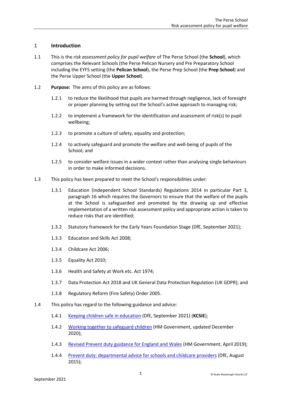#### <span id="page-2-0"></span>1 **Introduction**

- 1.1 This is the *risk assessment policy for pupil welfare* of The Perse School (the **School**), which comprises the Relevant Schools (the Perse Pelican Nursery and Pre Preparatory School including the EYFS setting (the **Pelican School**), the Perse Prep School (the **Prep School**) and the Perse Upper School (the **Upper School**).
- 1.2 **Purpose:** The aims of this policy are as follows:
	- 1.2.1 to reduce the likelihood that pupils are harmed through negligence, lack of foresight or proper planning by setting out the School's active approach to managing risk;
	- 1.2.2 to implement a framework for the identification and assessment of risk(s) to pupil wellbeing;
	- 1.2.3 to promote a culture of safety, equality and protection;
	- 1.2.4 to actively safeguard and promote the welfare and well-being of pupils of the School; and
	- 1.2.5 to consider welfare issues in a wider context rather than analysing single behaviours in order to make informed decisions.
- 1.3 This policy has been prepared to meet the School's responsibilities under:
	- 1.3.1 Education (Independent School Standards) Regulations 2014 in particular Part 3, paragraph 16 which requires the Governors to ensure that the welfare of the pupils at the School is safeguarded and promoted by the drawing up and effective implementation of a written risk assessment policy and appropriate action is taken to reduce risks that are identified;
	- 1.3.2 Statutory framework for the Early Years Foundation Stage (DfE, September 2021);
	- 1.3.3 Education and Skills Act 2008;
	- 1.3.4 Childcare Act 2006;
	- 1.3.5 Equality Act 2010;
	- 1.3.6 Health and Safety at Work etc. Act 1974;
	- 1.3.7 Data Protection Act 2018 and UK General Data Protection Regulation (UK GDPR); and
	- 1.3.8 Regulatory Reform (Fire Safety) Order 2005.
- 1.4 This policy has regard to the following guidance and advice:
	- 1.4.1 [Keeping children safe in education](https://www.gov.uk/government/publications/keeping-children-safe-in-education--2) (DfE, September 2021) (**KCSIE**);
	- 1.4.2 [Working together to safeguard children](https://www.gov.uk/government/publications/working-together-to-safeguard-children--2) (HM Government, updated December 2020);
	- 1.4.3 [Revised Prevent duty guidance for England and Wales](https://www.gov.uk/government/publications/prevent-duty-guidance) (HM Government, April 2019);
	- 1.4.4 [Prevent duty: departmental advice for schools and childcare providers](https://www.gov.uk/government/publications/protecting-children-from-radicalisation-the-prevent-duty) (DfE, August 2015);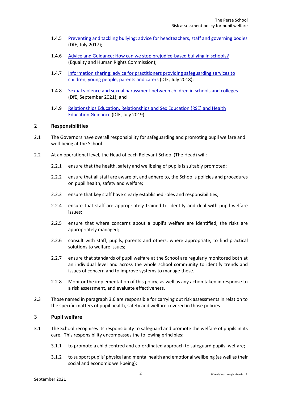- 1.4.5 [Preventing and tackling bullying: advice for headteachers, staff and governing bodies](https://www.gov.uk/government/publications/preventing-and-tackling-bullying) (DfE, July 2017);
- 1.4.6 [Advice and Guidance: How can we stop prejudice-based bullying in schools?](https://www.equalityhumanrights.com/en/advice-and-guidance/how-can-we-stop-prejudice-based-bullying-schools) (Equality and Human Rights Commission);
- 1.4.7 [Information sharing: advice for practitioners providing safeguarding services to](https://www.gov.uk/government/publications/safeguarding-practitioners-information-sharing-advice)  [children, young people, parents and carers](https://www.gov.uk/government/publications/safeguarding-practitioners-information-sharing-advice) (DfE, July 2018);
- 1.4.8 [Sexual violence and sexual harassment between children in schools and colleges](https://www.gov.uk/government/publications/sexual-violence-and-sexual-harassment-between-children-in-schools-and-colleges) (DfE, September 2021); and
- 1.4.9 [Relationships Education, Relationships and Sex Education \(RSE\) and Health](https://www.gov.uk/government/publications/relationships-education-relationships-and-sex-education-rse-and-health-education)  [Education](https://www.gov.uk/government/publications/relationships-education-relationships-and-sex-education-rse-and-health-education) Guidance (DfE, July 2019).

#### <span id="page-3-0"></span>2 **Responsibilities**

- 2.1 The Governors have overall responsibility for safeguarding and promoting pupil welfare and well-being at the School.
- 2.2 At an operational level, the Head of each Relevant School (The Head) will:
	- 2.2.1 ensure that the health, safety and wellbeing of pupils is suitably promoted;
	- 2.2.2 ensure that all staff are aware of, and adhere to, the School's policies and procedures on pupil health, safety and welfare;
	- 2.2.3 ensure that key staff have clearly established roles and responsibilities;
	- 2.2.4 ensure that staff are appropriately trained to identify and deal with pupil welfare issues;
	- 2.2.5 ensure that where concerns about a pupil's welfare are identified, the risks are appropriately managed;
	- 2.2.6 consult with staff, pupils, parents and others, where appropriate, to find practical solutions to welfare issues;
	- 2.2.7 ensure that standards of pupil welfare at the School are regularly monitored both at an individual level and across the whole school community to identify trends and issues of concern and to improve systems to manage these.
	- 2.2.8 Monitor the implementation of this policy, as well as any action taken in response to a risk assessment, and evaluate effectiveness.
- 2.3 Those named in paragraph [3.6](#page-6-0) are responsible for carrying out risk assessments in relation to the specific matters of pupil health, safety and welfare covered in those policies.

#### <span id="page-3-1"></span>3 **Pupil welfare**

- 3.1 The School recognises its responsibility to safeguard and promote the welfare of pupils in its care. This responsibility encompasses the following principles:
	- 3.1.1 to promote a child centred and co-ordinated approach to safeguard pupils' welfare;
	- 3.1.2 to support pupils' physical and mental health and emotional wellbeing (as well as their social and economic well-being);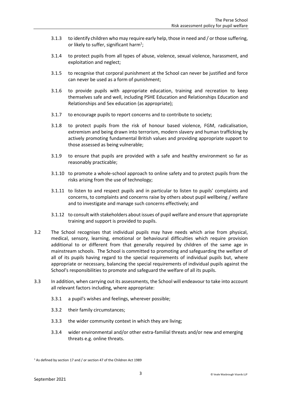- 3.1.3 to identify children who may require early help, those in need and / or those suffering, or likely to suffer, significant harm<sup>1</sup>;
- 3.1.4 to protect pupils from all types of abuse, violence, sexual violence, harassment, and exploitation and neglect;
- 3.1.5 to recognise that corporal punishment at the School can never be justified and force can never be used as a form of punishment;
- 3.1.6 to provide pupils with appropriate education, training and recreation to keep themselves safe and well, including PSHE Education and Relationships Education and Relationships and Sex education (as appropriate);
- 3.1.7 to encourage pupils to report concerns and to contribute to society;
- 3.1.8 to protect pupils from the risk of honour based violence, FGM, radicalisation, extremism and being drawn into terrorism, modern slavery and human trafficking by actively promoting fundamental British values and providing appropriate support to those assessed as being vulnerable;
- 3.1.9 to ensure that pupils are provided with a safe and healthy environment so far as reasonably practicable;
- 3.1.10 to promote a whole-school approach to online safety and to protect pupils from the risks arising from the use of technology;
- 3.1.11 to listen to and respect pupils and in particular to listen to pupils' complaints and concerns, to complaints and concerns raise by others about pupil wellbeing / welfare and to investigate and manage such concerns effectively; and
- 3.1.12 to consult with stakeholders about issues of pupil welfare and ensure that appropriate training and support is provided to pupils.
- 3.2 The School recognises that individual pupils may have needs which arise from physical, medical, sensory, learning, emotional or behavioural difficulties which require provision additional to or different from that generally required by children of the same age in mainstream schools. The School is committed to promoting and safeguarding the welfare of all of its pupils having regard to the special requirements of individual pupils but, where appropriate or necessary, balancing the special requirements of individual pupils against the School's responsibilities to promote and safeguard the welfare of all its pupils.
- 3.3 In addition, when carrying out its assessments, the School will endeavour to take into account all relevant factors including, where appropriate:
	- 3.3.1 a pupil's wishes and feelings, wherever possible;
	- 3.3.2 their family circumstances;
	- 3.3.3 the wider community context in which they are living;
	- 3.3.4 wider environmental and/or other extra-familial threats and/or new and emerging threats e.g. online threats.

<sup>&</sup>lt;sup>1</sup> As defined by section 17 and / or section 47 of the Children Act 1989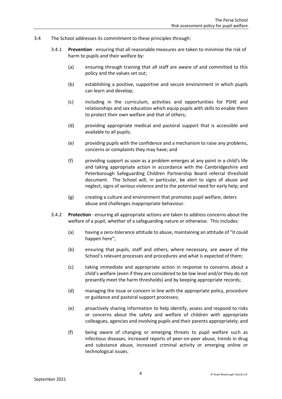- 3.4 The School addresses its commitment to these principles through:
	- 3.4.1 **Prevention** ensuring that all reasonable measures are taken to minimise the risk of harm to pupils and their welfare by:
		- (a) ensuring through training that all staff are aware of and committed to this policy and the values set out;
		- (b) establishing a positive, supportive and secure environment in which pupils can learn and develop;
		- (c) including in the curriculum, activities and opportunities for PSHE and relationships and sex education which equip pupils with skills to enable them to protect their own welfare and that of others;
		- (d) providing appropriate medical and pastoral support that is accessible and available to all pupils;
		- (e) providing pupils with the confidence and a mechanism to raise any problems, concerns or complaints they may have; and
		- (f) providing support as soon as a problem emerges at any point in a child's life and taking appropriate action in accordance with the Cambridgeshire and Peterborough Safeguarding Children Partnership Board referral threshold document. The School will, in particular, be alert to signs of abuse and neglect, signs of serious violence and to the potential need for early help; and
		- (g) creating a culture and environment that promotes pupil welfare, deters abuse and challenges inappropriate behaviour.
	- 3.4.2 **Protection** ensuring all appropriate actions are taken to address concerns about the welfare of a pupil, whether of a safeguarding nature or otherwise. This includes:
		- (a) having a zero-tolerance attitude to abuse, maintaining an attitude of "it could happen here";
		- (b) ensuring that pupils, staff and others, where necessary, are aware of the School's relevant processes and procedures and what is expected of them;
		- (c) taking immediate and appropriate action in response to concerns about a child's welfare (even if they are considered to be low level and/or they do not presently meet the harm thresholds) and by keeping appropriate records;
		- (d) managing the issue or concern in line with the appropriate policy, procedure or guidance and pastoral support processes;
		- (e) proactively sharing information to help identify, assess and respond to risks or concerns about the safety and welfare of children with appropriate colleagues, agencies and involving pupils and their parents appropriately; and
		- (f) being aware of changing or emerging threats to pupil welfare such as infectious diseases, increased reports of peer-on-peer abuse, trends in drug and substance abuse, increased criminal activity or emerging online or technological issues.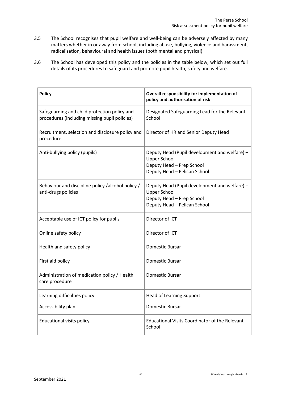- 3.5 The School recognises that pupil welfare and well-being can be adversely affected by many matters whether in or away from school, including abuse, bullying, violence and harassment, radicalisation, behavioural and health issues (both mental and physical).
- <span id="page-6-0"></span>3.6 The School has developed this policy and the policies in the table below, which set out full details of its procedures to safeguard and promote pupil health, safety and welfare.

| <b>Policy</b>                                                                                 | Overall responsibility for implementation of<br>policy and authorisation of risk                                                  |
|-----------------------------------------------------------------------------------------------|-----------------------------------------------------------------------------------------------------------------------------------|
| Safeguarding and child protection policy and<br>procedures (including missing pupil policies) | Designated Safeguarding Lead for the Relevant<br>School                                                                           |
| Recruitment, selection and disclosure policy and<br>procedure                                 | Director of HR and Senior Deputy Head                                                                                             |
| Anti-bullying policy (pupils)                                                                 | Deputy Head (Pupil development and welfare) -<br><b>Upper School</b><br>Deputy Head - Prep School<br>Deputy Head - Pelican School |
| Behaviour and discipline policy /alcohol policy /<br>anti-drugs policies                      | Deputy Head (Pupil development and welfare) -<br><b>Upper School</b><br>Deputy Head - Prep School<br>Deputy Head - Pelican School |
| Acceptable use of ICT policy for pupils                                                       | Director of ICT                                                                                                                   |
| Online safety policy                                                                          | Director of ICT                                                                                                                   |
| Health and safety policy                                                                      | <b>Domestic Bursar</b>                                                                                                            |
| First aid policy                                                                              | <b>Domestic Bursar</b>                                                                                                            |
| Administration of medication policy / Health<br>care procedure                                | <b>Domestic Bursar</b>                                                                                                            |
| Learning difficulties policy                                                                  | <b>Head of Learning Support</b>                                                                                                   |
| Accessibility plan                                                                            | <b>Domestic Bursar</b>                                                                                                            |
| <b>Educational visits policy</b>                                                              | <b>Educational Visits Coordinator of the Relevant</b><br>School                                                                   |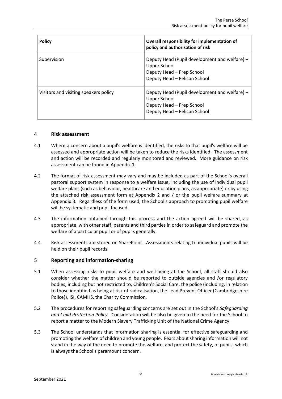| <b>Policy</b>                         | Overall responsibility for implementation of<br>policy and authorisation of risk                                           |
|---------------------------------------|----------------------------------------------------------------------------------------------------------------------------|
| Supervision                           | Deputy Head (Pupil development and welfare) -<br>Upper School<br>Deputy Head - Prep School<br>Deputy Head - Pelican School |
| Visitors and visiting speakers policy | Deputy Head (Pupil development and welfare) -<br>Upper School<br>Deputy Head - Prep School<br>Deputy Head - Pelican School |

#### <span id="page-7-0"></span>4 **Risk assessment**

- 4.1 Where a concern about a pupil's welfare is identified, the risks to that pupil's welfare will be assessed and appropriate action will be taken to reduce the risks identified. The assessment and action will be recorded and regularly monitored and reviewed. More guidance on risk assessment can be found in Appendix 1.
- 4.2 The format of risk assessment may vary and may be included as part of the School's overall pastoral support system in response to a welfare issue, including the use of individual pupil welfare plans (such as behaviour, healthcare and education plans, as appropriate) or by using the attached risk assessment form at Appendix 2 and / or the pupil welfare summary at Appendix 3. Regardless of the form used, the School's approach to promoting pupil welfare will be systematic and pupil focused.
- 4.3 The information obtained through this process and the action agreed will be shared, as appropriate, with other staff, parents and third parties in order to safeguard and promote the welfare of a particular pupil or of pupils generally.
- 4.4 Risk assessments are stored on SharePoint. Assessments relating to individual pupils will be held on their pupil records.

#### <span id="page-7-1"></span>5 **Reporting and information-sharing**

- 5.1 When assessing risks to pupil welfare and well-being at the School, all staff should also consider whether the matter should be reported to outside agencies and /or regulatory bodies, including but not restricted to, Children's Social Care, the police (including, in relation to those identified as being at risk of radicalisation, the Lead Prevent Officer (Cambridgeshire Police)), ISI, CAMHS, the Charity Commission.
- 5.2 The procedures for reporting safeguarding concerns are set out in the School's *Safeguarding and Child Protection Policy*. Consideration will be also be given to the need for the School to report a matter to the Modern Slavery Trafficking Unit of the National Crime Agency.
- 5.3 The School understands that information sharing is essential for effective safeguarding and promoting the welfare of children and young people. Fears about sharing information will not stand in the way of the need to promote the welfare, and protect the safety, of pupils, which is always the School's paramount concern.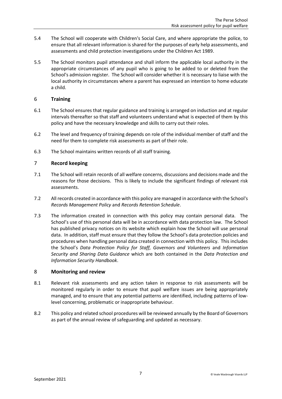- 5.4 The School will cooperate with Children's Social Care, and where appropriate the police, to ensure that all relevant information is shared for the purposes of early help assessments, and assessments and child protection investigations under the Children Act 1989.
- 5.5 The School monitors pupil attendance and shall inform the applicable local authority in the appropriate circumstances of any pupil who is going to be added to or deleted from the School's admission register. The School will consider whether it is necessary to liaise with the local authority in circumstances where a parent has expressed an intention to home educate a child.

## <span id="page-8-0"></span>6 **Training**

- 6.1 The School ensures that regular guidance and training is arranged on induction and at regular intervals thereafter so that staff and volunteers understand what is expected of them by this policy and have the necessary knowledge and skills to carry out their roles.
- 6.2 The level and frequency of training depends on role of the individual member of staff and the need for them to complete risk assessments as part of their role.
- 6.3 The School maintains written records of all staff training.

## <span id="page-8-1"></span>7 **Record keeping**

- 7.1 The School will retain records of all welfare concerns, discussions and decisions made and the reasons for those decisions. This is likely to include the significant findings of relevant risk assessments.
- 7.2 All records created in accordance with this policy are managed in accordance with the School's *Records Management Policy* and *Records Retention Schedule*.
- 7.3 The information created in connection with this policy may contain personal data. The School's use of this personal data will be in accordance with data protection law. The School has published privacy notices on its website which explain how the School will use personal data. In addition, staff must ensure that they follow the School's data protection policies and procedures when handling personal data created in connection with this policy. This includes the School's *Data Protection Policy for Staff, Governors and Volunteers* and *Information Security and Sharing Data Guidance* which are both contained in the *Data Protection and Information Security Handbook*.

#### <span id="page-8-2"></span>8 **Monitoring and review**

- 8.1 Relevant risk assessments and any action taken in response to risk assessments will be monitored regularly in order to ensure that pupil welfare issues are being appropriately managed, and to ensure that any potential patterns are identified, including patterns of lowlevel concerning, problematic or inappropriate behaviour.
- <span id="page-8-3"></span>8.2 This policy and related school procedures will be reviewed annually by the Board of Governors as part of the annual review of safeguarding and updated as necessary.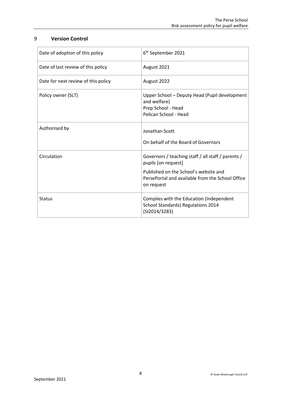## 9 **Version Control**

| Date of adoption of this policy     | 6 <sup>th</sup> September 2021                                                                               |
|-------------------------------------|--------------------------------------------------------------------------------------------------------------|
| Date of last review of this policy  | August 2021                                                                                                  |
| Date for next review of this policy | August 2022                                                                                                  |
| Policy owner (SLT)                  | Upper School - Deputy Head (Pupil development<br>and welfare)<br>Prep School - Head<br>Pelican School - Head |
| Authorised by                       | Jonathan Scott<br>On behalf of the Board of Governors                                                        |
| Circulation                         | Governors / teaching staff / all staff / parents /<br>pupils [on request]                                    |
|                                     | Published on the School's website and<br>PersePortal and available from the School Office<br>on request      |
| <b>Status</b>                       | Complies with the Education (Independent<br>School Standards) Regulations 2014<br>(SI2014/3283)              |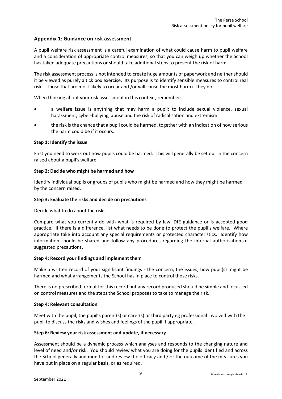#### <span id="page-10-0"></span>**Appendix 1: Guidance on risk assessment**

A pupil welfare risk assessment is a careful examination of what could cause harm to pupil welfare and a consideration of appropriate control measures, so that you can weigh up whether the School has taken adequate precautions or should take additional steps to prevent the risk of harm.

The risk assessment process is not intended to create huge amounts of paperwork and neither should it be viewed as purely a tick box exercise. Its purpose is to identify sensible measures to control real risks - those that are most likely to occur and /or will cause the most harm if they do.

When thinking about your risk assessment in this context, remember:

- a welfare issue is anything that may harm a pupil; to include sexual violence, sexual harassment, cyber-bullying, abuse and the risk of radicalisation and extremism.
- the risk is the chance that a pupil could be harmed, together with an indication of how serious the harm could be if it occurs.

#### **Step 1: Identify the issue**

First you need to work out how pupils could be harmed. This will generally be set out in the concern raised about a pupil's welfare.

#### **Step 2: Decide who might be harmed and how**

Identify individual pupils or groups of pupils who might be harmed and how they might be harmed by the concern raised.

#### **Step 3: Evaluate the risks and decide on precautions**

Decide what to do about the risks.

Compare what you currently do with what is required by law, DfE guidance or is accepted good practice. If there is a difference, list what needs to be done to protect the pupil's welfare. Where appropriate take into account any special requirements or protected characteristics. Identify how information should be shared and follow any procedures regarding the internal authorisation of suggested precautions.

#### **Step 4: Record your findings and implement them**

Make a written record of your significant findings - the concern, the issues, how pupil(s) might be harmed and what arrangements the School has in place to control those risks.

There is no prescribed format for this record but any record produced should be simple and focussed on control measures and the steps the School proposes to take to manage the risk.

#### **Step 4: Relevant consultation**

Meet with the pupil, the pupil's parent(s) or carer(s) or third party eg professional involved with the pupil to discuss the risks and wishes and feelings of the pupil if appropriate.

#### **Step 6: Review your risk assessment and update, if necessary**

Assessment should be a dynamic process which analyses and responds to the changing nature and level of need and/or risk. You should review what you are doing for the pupils identified and across the School generally and monitor and review the efficacy and / or the outcome of the measures you have put in place on a regular basis, or as required.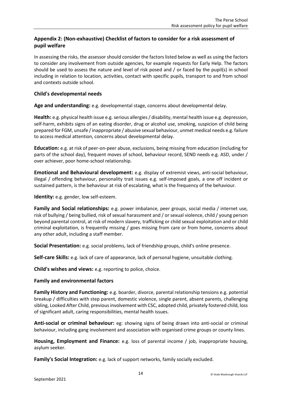## <span id="page-11-0"></span>**Appendix 2: (Non-exhaustive) Checklist of factors to consider for a risk assessment of pupil welfare**

In assessing the risks, the assessor should consider the factors listed below as well as using the factors to consider any involvement from outside agencies, for example requests for Early Help. The factors should be used to assess the nature and level of risk posed and / or faced by the pupil(s) in school including in relation to location, activities, contact with specific pupils, transport to and from school and contexts outside school.

## **Child's developmental needs**

**Age and understanding:** e.g. developmental stage, concerns about developmental delay.

**Health:** e.g. physical health issue e.g. serious allergies / disability, mental health issue e.g. depression, self-harm, exhibits signs of an eating disorder, drug or alcohol use, smoking, suspicion of child being prepared for FGM, unsafe / inappropriate / abusive sexual behaviour, unmet medical needs e.g. failure to access medical attention, concerns about developmental delay.

**Education:** e.g. at risk of peer-on-peer abuse, exclusions, being missing from education (including for parts of the school day), frequent moves of school, behaviour record, SEND needs e.g. ASD, under / over achiever, poor home-school relationship.

**Emotional and Behavioural development:** e.g. display of extremist views, anti-social behaviour, illegal / offending behaviour, personality trait issues e.g. self-imposed goals, a one off incident or sustained pattern, is the behaviour at risk of escalating, what is the frequency of the behaviour.

**Identity:** e.g. gender, low self-esteem.

**Family and Social relationships:** e.g. power imbalance, peer groups, social media / internet use, risk of bullying / being bullied, risk of sexual harassment and / or sexual violence, child / young person beyond parental control, at risk of modern slavery, trafficking or child sexual exploitation and or child criminal exploitation, is frequently missing / goes missing from care or from home, concerns about any other adult, including a staff member.

**Social Presentation:** e.g. social problems, lack of friendship groups, child's online presence.

**Self-care Skills:** e.g. lack of care of appearance, lack of personal hygiene, unsuitable clothing.

**Child's wishes and views:** e.g. reporting to police, choice.

#### **Family and environmental factors**

**Family History and Functioning:** e.g. boarder, divorce, parental relationship tensions e.g. potential breakup / difficulties with step parent, domestic violence, single parent, absent parents, challenging sibling, Looked After Child, previous involvement with CSC, adopted child, privately fostered child, loss of significant adult, caring responsibilities, mental health issues.

**Anti-social or criminal behaviour:** eg: showing signs of being drawn into anti-social or criminal behaviour, including gang involvement and association with organised crime groups or county lines.

**Housing, Employment and Finance:** e.g. loss of parental income / job, inappropriate housing, asylum seeker.

**Family's Social Integration:** e.g. lack of support networks, family socially excluded.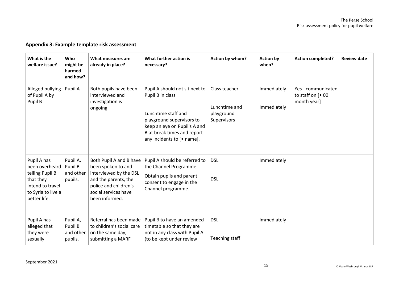# **Appendix 3: Example template risk assessment**

<span id="page-12-0"></span>

| What is the<br>welfare issue?                                                                                           | Who<br>might be<br>harmed<br>and how?       | What measures are<br>already in place?                                                                                                                             | What further action is<br>necessary?                                                                                                                                                                 | Action by whom?                                             | <b>Action by</b><br>when?  | <b>Action completed?</b>                                 | <b>Review date</b> |
|-------------------------------------------------------------------------------------------------------------------------|---------------------------------------------|--------------------------------------------------------------------------------------------------------------------------------------------------------------------|------------------------------------------------------------------------------------------------------------------------------------------------------------------------------------------------------|-------------------------------------------------------------|----------------------------|----------------------------------------------------------|--------------------|
| Alleged bullying<br>of Pupil A by<br>Pupil B                                                                            | Pupil A                                     | Both pupils have been<br>interviewed and<br>investigation is<br>ongoing.                                                                                           | Pupil A should not sit next to<br>Pupil B in class.<br>Lunchtime staff and<br>playground supervisors to<br>keep an eye on Pupil's A and<br>B at break times and report<br>any incidents to [• name]. | Class teacher<br>Lunchtime and<br>playground<br>Supervisors | Immediately<br>Immediately | Yes - communicated<br>to staff on $[• 00$<br>month year] |                    |
| Pupil A has<br>been overheard<br>telling Pupil B<br>that they<br>intend to travel<br>to Syria to live a<br>better life. | Pupil A,<br>Pupil B<br>and other<br>pupils. | Both Pupil A and B have<br>been spoken to and<br>interviewed by the DSL<br>and the parents, the<br>police and children's<br>social services have<br>been informed. | Pupil A should be referred to<br>the Channel Programme.<br>Obtain pupils and parent<br>consent to engage in the<br>Channel programme.                                                                | <b>DSL</b><br><b>DSL</b>                                    | Immediately                |                                                          |                    |
| Pupil A has<br>alleged that<br>they were<br>sexually                                                                    | Pupil A,<br>Pupil B<br>and other<br>pupils. | Referral has been made<br>to children's social care<br>on the same day,<br>submitting a MARF                                                                       | Pupil B to have an amended<br>timetable so that they are<br>not in any class with Pupil A<br>(to be kept under review                                                                                | <b>DSL</b><br>Teaching staff                                | Immediately                |                                                          |                    |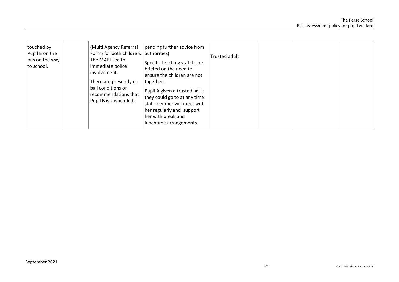| touched by<br>Pupil B on the<br>bus on the way<br>to school. |  | (Multi Agency Referral<br>Form) for both children.<br>The MARF led to<br>immediate police<br>involvement.<br>There are presently no<br>bail conditions or<br>recommendations that<br>Pupil B is suspended. | pending further advice from<br>authorities)<br>Specific teaching staff to be<br>briefed on the need to<br>ensure the children are not<br>together.<br>Pupil A given a trusted adult<br>they could go to at any time:<br>staff member will meet with<br>her regularly and support<br>her with break and<br>lunchtime arrangements | Trusted adult |  |  |  |
|--------------------------------------------------------------|--|------------------------------------------------------------------------------------------------------------------------------------------------------------------------------------------------------------|----------------------------------------------------------------------------------------------------------------------------------------------------------------------------------------------------------------------------------------------------------------------------------------------------------------------------------|---------------|--|--|--|
|--------------------------------------------------------------|--|------------------------------------------------------------------------------------------------------------------------------------------------------------------------------------------------------------|----------------------------------------------------------------------------------------------------------------------------------------------------------------------------------------------------------------------------------------------------------------------------------------------------------------------------------|---------------|--|--|--|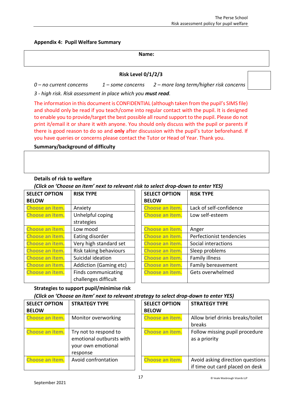<span id="page-14-0"></span>**Appendix 4: Pupil Welfare Summary**

**Name:**

## **Risk Level 0/1/2/3**

*0 – no current concerns 1 – some concerns 2 – more long term/higher risk concerns 3 - high risk. Risk assessment in place which you must read.*

The information in this document is CONFIDENTIAL (although taken from the pupil's SIMS file) and should only be read if you teach/come into regular contact with the pupil. It is designed to enable you to provide/target the best possible all round support to the pupil. Please do not print it/email it or share it with anyone. You should only discuss with the pupil or parents if there is good reason to do so and **only** after discussion with the pupil's tutor beforehand. If you have queries or concerns please contact the Tutor or Head of Year. Thank you.

## **Summary/background of difficulty**

## **Details of risk to welfare**

*(Click on 'Choose an item' next to relevant risk to select drop-down to enter YES)* 

| <b>SELECT OPTION</b> | <b>RISK TYPE</b>       | <b>SELECT OPTION</b> | <b>RISK TYPE</b>         |
|----------------------|------------------------|----------------------|--------------------------|
| <b>BELOW</b>         |                        | <b>BELOW</b>         |                          |
| Choose an item.      | Anxiety                | Choose an item.      | Lack of self-confidence  |
| Choose an item.      | Unhelpful coping       | Choose an item.      | Low self-esteem          |
|                      | strategies             |                      |                          |
| Choose an item.      | Low mood               | Choose an item.      | Anger                    |
| Choose an item.      | Eating disorder        | Choose an item.      | Perfectionist tendencies |
| Choose an item.      | Very high standard set | Choose an item.      | Social interactions      |
| Choose an item.      | Risk taking behaviours | Choose an item.      | Sleep problems           |
| Choose an item.      | Suicidal ideation      | Choose an item.      | Family illness           |
| Choose an item.      | Addiction (Gaming etc) | Choose an item.      | Family bereavement       |
| Choose an item.      | Finds communicating    | Choose an item.      | Gets overwhelmed         |
|                      | challenges difficult   |                      |                          |

## **Strategies to support pupil/minimise risk**

*(Click on 'Choose an item' next to relevant strategy to select drop-down to enter YES)* 

| <b>SELECT OPTION</b><br><b>BELOW</b> | <b>STRATEGY TYPE</b>                                                                | <b>SELECT OPTION</b><br><b>BELOW</b> | <b>STRATEGY TYPE</b>                                                |
|--------------------------------------|-------------------------------------------------------------------------------------|--------------------------------------|---------------------------------------------------------------------|
| Choose an item.                      | Monitor overworking                                                                 | Choose an item.                      | Allow brief drinks breaks/toilet<br>breaks                          |
| Choose an item.                      | Try not to respond to<br>emotional outbursts with<br>your own emotional<br>response | Choose an item.                      | Follow missing pupil procedure<br>as a priority                     |
| Choose an item.                      | Avoid confrontation                                                                 | Choose an item.                      | Avoid asking direction questions<br>if time out card placed on desk |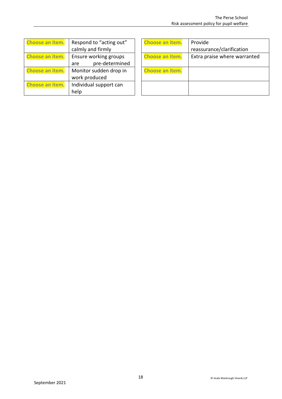| Choose an item.        | Respond to "acting out" |  |  |
|------------------------|-------------------------|--|--|
|                        | calmly and firmly       |  |  |
| <b>Choose an item.</b> | Ensure working groups   |  |  |
|                        | pre-determined<br>are   |  |  |
| <b>Choose an item.</b> | Monitor sudden drop in  |  |  |
|                        | work produced           |  |  |
| Choose an item.        | Individual support can  |  |  |
|                        | help                    |  |  |

| Choose an item.        | Provide                      |
|------------------------|------------------------------|
|                        | reassurance/clarification    |
| <b>Choose an item.</b> | Extra praise where warranted |
|                        |                              |
| Choose an item.        |                              |
|                        |                              |
|                        |                              |
|                        |                              |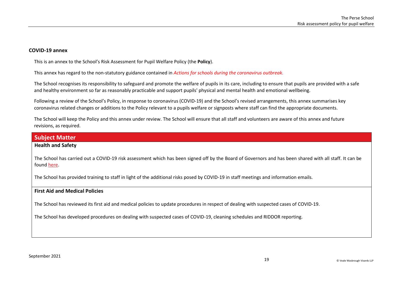#### **COVID-19 annex**

This is an annex to the School's Risk Assessment for Pupil Welfare Policy (the **Policy**).

This annex has regard to the non-statutory guidance contained in *[Actions for schools during the coronavirus outbreak.](https://www.gov.uk/government/publications/actions-for-schools-during-the-coronavirus-outbreak)*

The School recognises its responsibility to safeguard and promote the welfare of pupils in its care, including to ensure that pupils are provided with a safe and healthy environment so far as reasonably practicable and support pupils' physical and mental health and emotional wellbeing.

Following a review of the School's Policy, in response to coronavirus (COVID-19) and the School's revised arrangements, this annex summarises key coronavirus related changes or additions to the Policy relevant to a pupils welfare or signposts where staff can find the appropriate documents.

The School will keep the Policy and this annex under review. The School will ensure that all staff and volunteers are aware of this annex and future revisions, as required.

# **Subject Matter Health and Safety**

## <span id="page-16-0"></span>The School has carried out a COVID-19 risk assessment which has been signed off by the Board of Governors and has been shared with all staff. It can be foun[d here.](https://www.perse.co.uk/policies/)

The School has provided training to staff in light of the additional risks posed by COVID-19 in staff meetings and information emails.

#### **First Aid and Medical Policies**

The School has reviewed its first aid and medical policies to update procedures in respect of dealing with suspected cases of COVID-19.

The School has developed procedures on dealing with suspected cases of COVID-19[, cleaning schedules](https://www.gov.uk/government/publications/covid-19-decontamination-in-non-healthcare-settings) and [RIDDOR](https://www.hse.gov.uk/news/riddor-reporting-coronavirus.htm) reporting.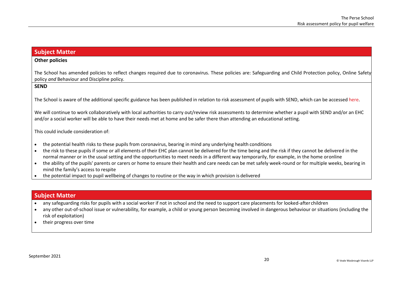## **Subject Matter**

## **Other policies**

The School has amended policies to reflect changes required due to coronavirus. These policies are: Safeguarding and Child Protection policy, Online Safety policy *and* Behaviour and Discipline policy*.*

#### **SEND**

The School is aware of the additional specific guidance has been published in relation to risk assessment of pupils with SEND, which can be accessed [here.](https://www.gov.uk/government/publications/coronavirus-covid-19-send-risk-assessment-guidance/coronavirus-covid-19-send-risk-assessment-guidance)

We will continue to work collaboratively with local authorities to carry out/review risk assessments to determine whether a pupil with SEND and/or an EHC and/or a social worker will be able to have their needs met at home and be safer there than attending an educational setting.

This could include consideration of:

- the potential health risks to these pupils from coronavirus, bearing in mind any underlying health conditions
- the risk to these pupils if some or all elements of their EHC plan cannot be delivered for the time being and the risk if they cannot be delivered in the normal manner or in the usual setting and the opportunities to meet needs in a different way temporarily, for example, in the home oronline
- the ability of the pupils' parents or carers or home to ensure their health and care needs can be met safely week-round or for multiple weeks, bearing in mind the family's access to respite
- the potential impact to pupil wellbeing of changes to routine or the way in which provision is delivered

## **Subject Matter**

- any safeguarding risks for pupils with a social worker if not in school and the need to support care placements for looked-after children
- any other out-of-school issue or vulnerability, for example, a child or young person becoming involved in dangerous behaviour or situations (including the risk of exploitation)
- their progress over time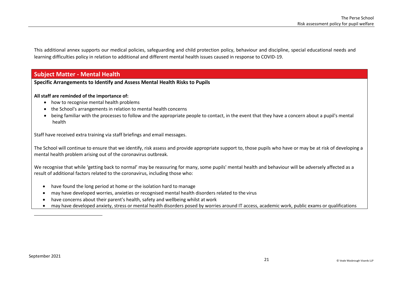This additional annex supports our medical policies, safeguarding and child protection policy, behaviour and discipline, special educational needs and learning difficulties policy in relation to additional and different mental health issues caused in response to COVID-19.

## **Subject Matter - Mental Health**

#### **Specific Arrangements to Identify and Assess Mental Health Risks to Pupils**

#### **All staff are reminded of the importance of:**

- how to recognise mental health problems
- the School's arrangements in relation to mental health concerns
- being familiar with the processes to follow and the appropriate people to contact, in the event that they have a concern about a pupil's mental health

Staff have received extra training via staff briefings and email messages.

The School will continue to ensure that we identify, risk assess and provide appropriate support to, those pupils who have or may be at risk of developing a mental health problem arising out of the coronavirus outbreak.

We recognise that while 'getting back to normal' may be reassuring for many, some pupils' mental health and behaviour will be adversely affected as a result of additional factors related to the coronavirus, including those who:

- have found the long period at home or the isolation hard to manage
- may have developed worries, anxieties or recognised mental health disorders related to the virus
- have concerns about their parent's health, safety and wellbeing whilst at work
- may have developed anxiety, stress or mental health disorders posed by worries around IT access, academic work, public exams or qualifications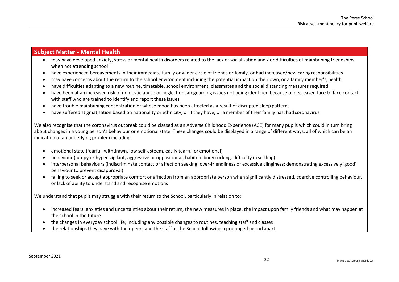- may have developed anxiety, stress or mental health disorders related to the lack of socialisation and / or difficulties of maintaining friendships when not attending school
- have experienced bereavements in their immediate family or wider circle of friends or family, or had increased/new caringresponsibilities
- may have concerns about the return to the school environment including the potential impact on their own, or a family member's,health
- have difficulties adapting to a new routine, timetable, school environment, classmates and the social distancing measures required
- have been at an increased risk of domestic abuse or neglect or safeguarding issues not being identified because of decreased face to face contact with staff who are trained to identify and report these issues
- have trouble maintaining concentration or whose mood has been affected as a result of disrupted sleep patterns
- have suffered stigmatisation based on nationality or ethnicity, or if they have, or a member of their family has, had coronavirus

We also recognise that the coronavirus outbreak could be classed as an Adverse Childhood Experience (ACE) for many pupils which could in turn bring about changes in a young person's behaviour or emotional state. These changes could be displayed in a range of different ways, all of which can be an indication of an underlying problem including:

- emotional state (fearful, withdrawn, low self-esteem, easily tearful or emotional)
- behaviour (jumpy or hyper-vigilant, aggressive or oppositional, habitual body rocking, difficulty in settling)
- interpersonal behaviours (indiscriminate contact or affection seeking, over-friendliness or excessive clinginess; demonstrating excessively 'good' behaviour to prevent disapproval)
- failing to seek or accept appropriate comfort or affection from an appropriate person when significantly distressed, coercive controlling behaviour, or lack of ability to understand and recognise emotions

We understand that pupils may struggle with their return to the School, particularly in relation to:

- increased fears, anxieties and uncertainties about their return, the new measures in place, the impact upon family friends and what may happen at the school in the future
- the changes in everyday school life, including any possible changes to routines, teaching staff and classes
- the relationships they have with their peers and the staff at the School following a prolonged period apart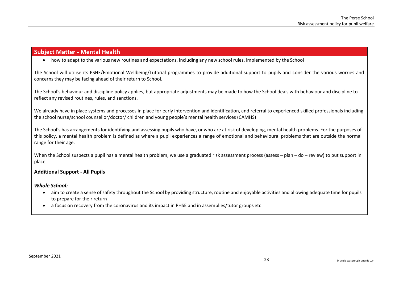• how to adapt to the various new routines and expectations, including any new school rules, implemented by the School

The School will utilise its PSHE/Emotional Wellbeing/Tutorial programmes to provide additional support to pupils and consider the various worries and concerns they may be facing ahead of their return to School.

The School's behaviour and discipline policy applies, but appropriate adjustments may be made to how the School deals with behaviour and discipline to reflect any revised routines, rules, and sanctions.

We already have in place systems and processes in place for early intervention and identification, and referral to experienced skilled professionals including the school nurse/school counsellor/doctor/ children and young people's mental health services (CAMHS)

The School's has arrangements for identifying and assessing pupils who have, or who are at risk of developing, mental health problems. For the purposes of this policy, a mental health problem is defined as where a pupil experiences a range of emotional and behavioural problems that are outside the normal range for their age.

When the School suspects a pupil has a mental health problem, we use a graduated risk assessment process (assess – plan – do – review) to put support in place.

## **Additional Support - All Pupils**

*Whole School:*

- aim to create a sense of safety throughout the School by providing structure, routine and enjoyable activities and allowing adequate time for pupils to prepare for their return
- a focus on recovery from the coronavirus and its impact in PHSE and in assemblies/tutor groups etc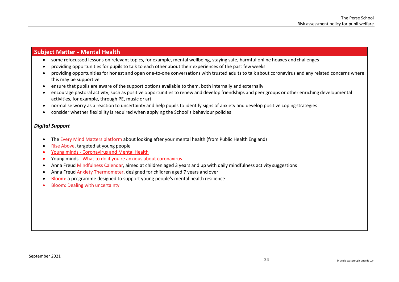- some refocussed lessons on relevant topics, for example, mental wellbeing, staying safe, harmful online hoaxes andchallenges
- providing opportunities for pupils to talk to each other about their experiences of the past few weeks
- providing opportunities for honest and open one-to-one conversations with trusted adults to talk about coronavirus and any related concerns where this may be supportive
- ensure that pupils are aware of the support options available to them, both internally and externally
- encourage pastoral activity, such as positive opportunities to renew and develop friendships and peer groups or other enriching developmental activities, for example, through PE, music or art
- normalise worry as a reaction to uncertainty and help pupils to identify signs of anxiety and develop positive coping strategies
- consider whether flexibility is required when applying the School's behaviour policies

#### *Digital Support*

- The [Every Mind Matters platform a](https://www.nhs.uk/oneyou/every-mind-matters/)bout looking after your mental health (from Public Health England)
- [Rise Above, t](https://riseabove.org.uk/)argeted at young people
- Young minds [Coronavirus and Mental](https://youngminds.org.uk/find-help/looking-after-yourself/coronavirus-and-mental-health/) Health
- Young minds [What to do if you're anxious about](https://youngminds.org.uk/blog/what-to-do-if-you-re-anxious-about-coronavirus/) coronavirus
- Anna Freud [Mindfulness Calendar, a](https://mentallyhealthyschools.org.uk/resources/mindfulness-calendar-daily-five-minute-activities/)imed at children aged 3 years and up with daily mindfulness activity suggestions
- Anna Freud [Anxiety Thermometer, d](https://mentallyhealthyschools.org.uk/resources/anxiety-thermometer/)esigned for children aged 7 years and over
- [Bloom:](https://mentalhealth-uk.org/partnerships/projects/bloom/) a programme designed to support young people's mental health resilience
- [Bloom: Dealing with](https://s3-eu-west-2.amazonaws.com/mhukcdn/wp-content/uploads/2020/05/07142440/Bloom-Dealing-with-Uncertainty.pdf) uncertainty